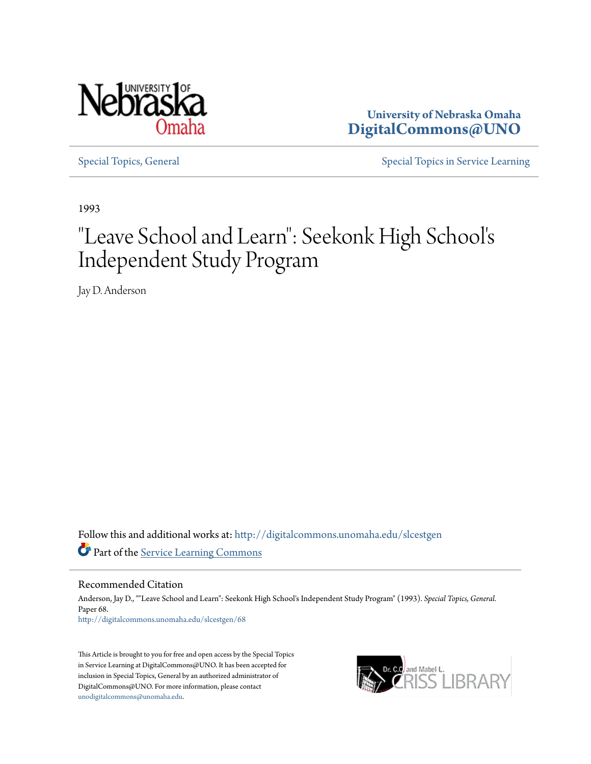

**University of Nebraska Omaha [DigitalCommons@UNO](http://digitalcommons.unomaha.edu?utm_source=digitalcommons.unomaha.edu%2Fslcestgen%2F68&utm_medium=PDF&utm_campaign=PDFCoverPages)**

[Special Topics, General](http://digitalcommons.unomaha.edu/slcestgen?utm_source=digitalcommons.unomaha.edu%2Fslcestgen%2F68&utm_medium=PDF&utm_campaign=PDFCoverPages) [Special Topics in Service Learning](http://digitalcommons.unomaha.edu/slcespecialtopics?utm_source=digitalcommons.unomaha.edu%2Fslcestgen%2F68&utm_medium=PDF&utm_campaign=PDFCoverPages)

1993

# "Leave School and Learn": Seekonk High School's Independent Study Program

Jay D. Anderson

Follow this and additional works at: [http://digitalcommons.unomaha.edu/slcestgen](http://digitalcommons.unomaha.edu/slcestgen?utm_source=digitalcommons.unomaha.edu%2Fslcestgen%2F68&utm_medium=PDF&utm_campaign=PDFCoverPages) Part of the [Service Learning Commons](http://network.bepress.com/hgg/discipline/1024?utm_source=digitalcommons.unomaha.edu%2Fslcestgen%2F68&utm_medium=PDF&utm_campaign=PDFCoverPages)

Recommended Citation

Anderson, Jay D., ""Leave School and Learn": Seekonk High School's Independent Study Program" (1993). *Special Topics, General.* Paper 68. [http://digitalcommons.unomaha.edu/slcestgen/68](http://digitalcommons.unomaha.edu/slcestgen/68?utm_source=digitalcommons.unomaha.edu%2Fslcestgen%2F68&utm_medium=PDF&utm_campaign=PDFCoverPages)

This Article is brought to you for free and open access by the Special Topics in Service Learning at DigitalCommons@UNO. It has been accepted for inclusion in Special Topics, General by an authorized administrator of DigitalCommons@UNO. For more information, please contact [unodigitalcommons@unomaha.edu](mailto:unodigitalcommons@unomaha.edu).

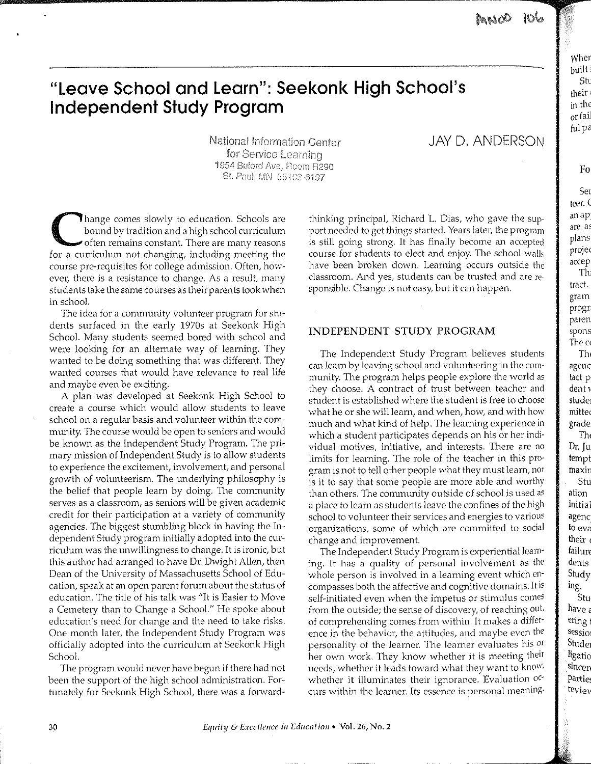JAY D. ANDERSON

# **"Leave School and Learn": Seekonk High School's Independent Study Program**

National Information Center for Service Learning 1954 Buford Ave, Room R290 St. Paul, MN 56108-6197

Thange comes slowly to education. Schools are<br>bound by tradition and a high school curriculum<br>often remains constant. There are many reasons<br>for a curriculum not changing including meeting the bound by tradition and a high school curriculum  $\blacktriangleright$  often remains constant. There are many reasons for a curriculum not changing, including meeting the course pre-requisites for college admission. Often, however, there is a resistance to change. As a result, many students take the sarne courses as their parents took when in school.

The idea for a community volunteer program for students surfaced in the early 1970s at Seekonk High School. Many students seemed bored with school and were looking for an alternate way of learning. They wanted to be doing something that was different. They wanted courses that would have relevance to real life and maybe even be exciting.

A plan was developed at Seekonk High School to create a course which would allow students to leave school on a regular basis and volunteer within the community. The course would be open to seniors and would be known as the Independent Study Program. The primary mission of Independent Study is to allow students to experience the excitement, involvement, and personal growth of volunteerism. The underlying philosophy is the belief that people learn by doing. The community serves as a classroom, as seniors will be given academic credit for their participation at a variety of community agencies. The biggest stumbling block in having the Independent Study program initially adopted into the curriculum was the unwillingness to change. It is ironic, but this author had arranged to have Dr. Dwight Allen, then Dean of the University of Massachusetts School of Education, speak at an open parent forum about the status of education. The title of his talk was "It is Easier to Move a Cemetery than to Change a School." He spoke about education's need for change and the need to take risks. One month later, the Independent Study Program was officially adopted into the curriculum at Seekonk High School.

The program would never have begun if there had not been the support of the high school administration. Fortunately for Seekonk High School, there was a forward-

thinking principal, Richard L. Dias, who gave the support needed to get things started. Years later, the program is still going strong. It has finally become an accepted course for students to elect and enjoy. The school walls have been broken down. Learning occurs outside the classroom. And yes, students can be trusted and are responsible. Change is not easy, but it can happen.

#### INDEPENDENT STUDY PROGRAM

The Independent Study Program believes students can learn by leaving school and volunteering in the community. The program helps people explore the world as they choose. A contract of trust between teacher and student is established where the student is free to choose what he or she will learn, and when, how, and with how much and what kind of help. The leaming experience in which a student participates depends on his or her individual tnotives, initiative, and interests. There are no limits for leaming. The role of the teacher in this program is not to tell other people what they must leam, nor is it to say that some people are more able and worthy than others. The conununity outside of school is used as a place to leam as students leave the confines of the high school to volunteer their services and energies to various organizations, some of which are committed to social change and improvement.

The Independent Study Program is experiential learning. It has a quality of personal involvement as the whole person is involved in a learning event which encompasses both the affective and cognitive domains. It is self-initiated even when the impetus or stimulus comes from the outside; the sense of discovery, of reaching out. of comprehending comes from within. It makes a difference in the behavior, the attitudes, and maybe even the personality of the learner. The learner evaluates his or her own work. They know whether it is meeting their needs, whether it lends toward what they want to know, whether it illuminates their ignorance. Evaluation occurs within the learner. Its essence is personal meaning.

Wher **built** St their 1 in the or fai ful pa

# Fo

Ser teer. C anap: are a: plans projec accep

Th• tract. gram progr paren spons The cr

Th< agenc tact p dent,. stude mitter grade

Th< Dr. Ju tempt maxir Stu

ation initial agenc to eva their , failun dents Study ing. Stu have;;

ering 1 sessio Studer ligatic sincer partie: reviev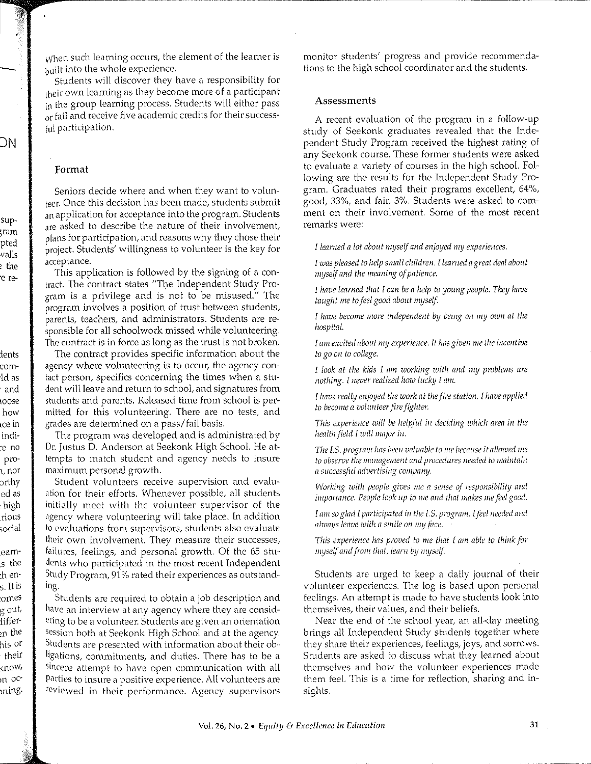When such learning occurs, the element of the learner is built into the whole experience.

Students will discover they have a responsibility for their own learning as they become more of a participant in the group learning process. Students will either pass or fail and receive five academic credits for their successful participation.

#### Format

Seniors decide where and when they want to volunteer. Once this decision has been made, students submit an application for acceptance into the program. Students are asked to describe the nature of their involvement, plans for participation, and reasons why they chose their project. Students' willingness to volunteer is the key for acceptance.

This application is followed by the signing of a contract. The contract states "The Independent Study Program is a privilege and is not to be misused." The program involves a position of trust between students, parents, teachers, and administrators. Students are responsible for all schoolwork missed while volunteering. The contract is in force as long as the trust is not broken.

The contract provides specific information about the agency where volunteering is to occur, the agency contact person, specifics concerning the times when a student will leave and return to school, and signatures from students and parents. Released time from school is permitted for this volunteering. There are no tests, and grades are determined on a pass/fail basis.

The program was developed and is administrated by Dr. Justus D. Anderson at Seekonk High School. He attempts to match student and agency needs to insure maximum personal growth.

Student volunteers receive supervision and evaluation for their efforts. Whenever possible, all students initially meet with the volunteer supervisor of the agency where volunteering will take place. In addition to evaluations from supervisors, students also evaluate their own involvement. They measure their successes, tailures, feelings, and personal growth. Of the 65 students who participated in the most recent Independent Study Program, 91% rated their experiences as outstanding

Students are required to obtain a job description and have an interview at any agency where they are considering to be a volunteer. Students are given an orientation session both at Seekonk High School and at the agency. Students are presented with information about their obligations, commitments, and duties. There has to be a sincere attempt to have open communication with all Parties to insure a positive experience. All volunteers are reviewed in their performance. Agency supervisors monitor students' progress and provide recommendations to the high school coordinator and the students.

#### Assessments

A recent evaluation of the program in a follow-up study of Seekonk graduates revealed that the Independent Study Program received the highest rating of any Seekonk course. These former students were asked to evaluate a variety of courses in the high school. Following are the results for the Independent Study Program. Graduates rated their programs excellent, 64%, good, 33%, and fair, 3%. Students were asked to comment on their involvement. Some of the most recent remarks were:

I learned a lot about myself and enjoyed my experiences.

I was pleased to help small children. I learned a great deal about myself and the meaning of patience.

I have learned that I can be a help to young people. They have taught me to feel good about myself.

I have become more independent by being on my own at the hospital.

I am excited about my experience. It has given me the incentive to go on to college.

I look at the kids I am working with and my problems are nothing. I never realized how lucky I am.

I have really enjoyed the work at the fire station. I have applied to become a volunteer fire fighter.

This experience will be helpful in deciding which area in the health field I will major in.

The I.S. program has been valuable to me because it allowed me to observe the management and procedures needed to maintain a successful advertising company.

Working with people gives me a sense of responsibility and importance. People look up to me and that makes me feel good.

I am so glad I participated in the I.S. program. I feel needed and always leave with a smile on my face.

This experience has proved to me that I am able to think for myself and from that, learn by myself.

Students are urged to keep a daily journal of their volunteer experiences. The log is based upon personal feelings. An attempt is made to have students look into themselves, their values, and their beliefs.

Near the end of the school year, an all-day meeting brings all Independent Study students together where they share their experiences, feelings, joys, and sorrows. Students are asked to discuss what they learned about themselves and how the volunteer experiences made them feel. This is a time for reflection, sharing and insights.

supram; pted valls the e re-

ЭN

ients comld as and toose how ice in indie no proi, nor orthy ed as high rious social

earns the 'h en-<sub>S.</sub> It is omes g out, liffer $en$  the nis or their know, n ocming.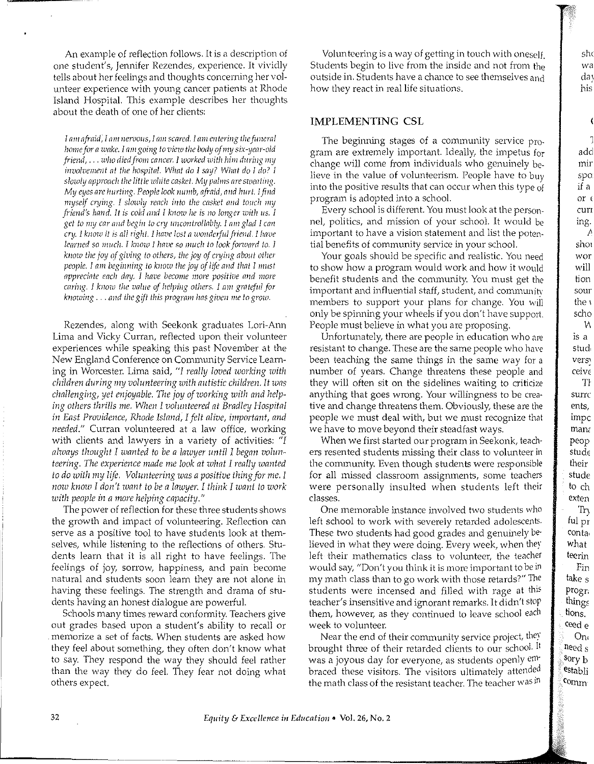An example of reflection follows. It is a description of one stndent's, Jennifer Eezendes, experience. It vividly tells about her feelings and thoughts concerning her volunteer experience with young cancer patients at Rhode Island Hospital. This example describes her thoughts about the death of one of her clients:

*I am afraid, I am nervous, I am scared. I am entering the funeral home for a wake. I am going to view the body of my six-year-old friend, ..* . *·who died from cancer. I worked with him during my involvement at the hospital. What do I say? What do I do? I slowly approach the little white casket.* My *palms arc sweating.*  My *eyes are hurting. People look numb, afraid, nud hurt.* I *find myself crying.* I *s/o·wly reach into the casket and touch my friend's hand.* It is cold and I know he is no longer with us. I *get to my car and begin to* ay *uncontrollably. I am glad I* ca11 *cry. I know it is all right. I have lost a wonderful friend. I have learned so much. I know I have so much to look forward to. I know the joy of giving to others, the joy of crying about other people. I am beginning to know the joy of life and that I must apprecinte eac/1 day. I have become more positive and more caring. I know the value of helping others. I am grateful for knowing* ... *and the gift this program has given me to grow.* 

Eezendes, along with Seekonk graduates Lori-Ann Lima and Vicky Curran, reflected upon their volunteer experiences while speaking this past November at the New England Conference on Community Service Learning in Worcester. Lima said, *"I really loved working with children during my volunteering with autistic children. It was*  challenging, yet enjoyable. The joy of working with and help*ing others thrills me. When I volunteered at Bradley Hospital in East Providence, Rhode Island, I felt alive, important, and needed."* Curran volunteered at a Jaw office, working with clients and lawyers in a variety of activities: "I *always thought I wanted to be a lawyer until I began volunteering. The experience made me look at what I really wanted to do with my life. Volunteering was a positive thing for me. I now know I don't want to be a lawyer. I think I want to work with people in a more helping capacity."* 

The power of reflection for these three students shows the growth and impact of volunteering. Eeflection can serve as a positive tool to have stndents look at themselves, while listening to the reflections of others. Stndents Jearn that it is all right to have feelings. The feelings of joy, sorrow, happiness, and pain become natural and stndents soon learn they are not alone in having these feelings. The strength and drama of students having an honest dialogue are powerful.

Schools many times reward conformity. Teachers give out grades based upon a student's ability to recall or memorize a set of facts. When students are asked how they feel about something, they often don't know what to say. They respond the way they should feel rather than the way they do feel. They fear not doing what others expect.

Volunteering is a way of getting in touch with oneself. Students begin to live from the inside and not from the outside in. Students have a chance to see themselves and how they react in real life situations.

#### IMPLEMENTING CSL

The beginning stages of a community service program are extremely important. Ideally, the impetus for change will come from individuals who genuinely believe in the value of volunteerism. People have to buy into the positive results that can occur when this type of program is adopted into a school.

Every school is different. You must look at the personnel, politics, and mission of your school. It would be important to have a vision statement and list the potential benefits of community service in your school.

Your goals should be specific and realistic. You need to show how a program would work and how it would benefit stndents and the community. You must get the important and influential staff, student, and community members to support your plans for change. You will only be spinning your wheels if you don't have support. People must believe in what you are proposing.

Unfortunately, there are people in education who are resistant to change. These are the same people who have been teaching the same things in the same way for a number of years. Change threatens these people and they will often sit on the sidelines waiting to criticize anything that goes wrong. Your willingness to be creative and change threatens them. Obviously, these are the people we must deal with, but we must recognize that we have to move beyond their steadfast ways.

When we first started our program in Seekonk, teachers resented students missing their class to volunteer in the community. Even though stndents were responsible for all missed classroom assignments, some teachers were personally insulted when students left their classes.

One memorable instance involved two students who left school to work with severely retarded adolescents. These two students had good grades and genuinely believed in what they were doing. Every week, when they left their mathematics class to volunteer, the teacher would say, "Don't you think it is more important to be in my math class than to go work with those retards?" The students were incensed and filled with rage at this teacher's insensitive and ignorant remarks. It didn't stop them, however, as they continued to leave school each week to volunteer.

Near the end of their community service project, they brought three of their retarded clients to our school. It was a joyous day for everyone, as students openly *em*braced these visitors. The visitors ultimately attended the math class of the resistant teacher. The teacher was in

she  $\dot{W}$ da ħi:

add mir spo if a or ' cun ing.  $\overline{\mathscr{C}}$ sho wor will tion

scho VI is a stnd, vers; ceive

Tl

sour the'

surrc ents, impc man.: peop stndc their stu de to ch exten Tr)

ful pr conta, what teerin Fin take s

progr; things tions. ceed e On, need 5 sory b

establi comm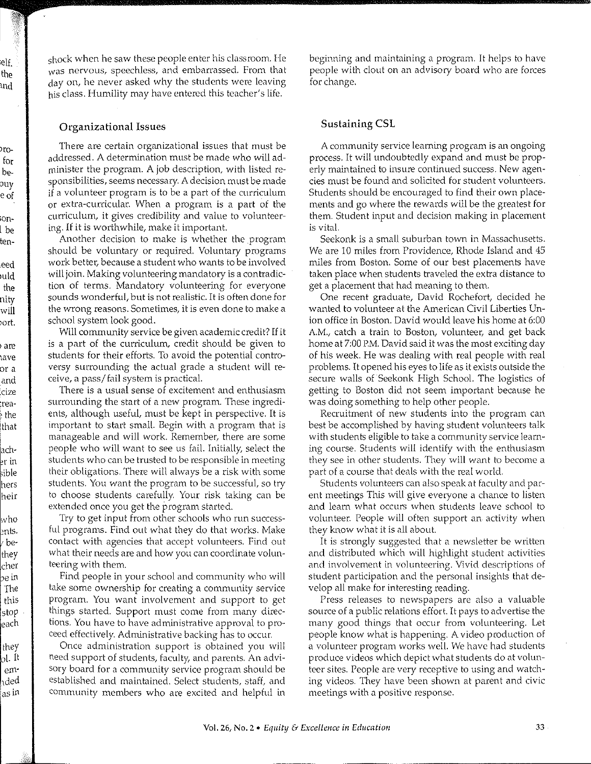elf. the >nd

>rofor beouy e of ;on~

I be teneed >uld

the nity will )Oft.

) are \ave or a and .cize ~rea~ 'the !that acher in

sible hers heir who ents. / be-

cher pe in The this stop

each

they

they <sub>ol</sub> It emhded as in shock when he saw these people enter his classroom. He was nervous, speechless, and embarrassed. From that day on, he never asked why the students were leaving his class. Humility may have entered this teacher's life.

### Organizational Issues

There are certain organizational issues that must be addressed. A determination must be made who will administer the program. A job description, with listed responsibilities, seems necessary. A decision must be made if a volunteer program is to be a part of the curriculum or extra-curricular. When a program is a part of the curriculum, it gives credibility and value to volunteering. If it is worthwhile, make it important.

Another decision to make is whether the program should be voluntary or required. Voluntary programs work better, because a student who wants to be involved will join. Making volunteering mandatory is a contradiction of terms. Mandatory volunteering for everyone sounds wonderful, but is not realistic. It is often done for the wrong reasons. Sometimes, it is even done to make a school system look good.

Will community service be given academic credit? If it is a part of the curriculum, credit should be given to students for their efforts. To avoid the potential controversy surrounding the actual grade a student will receive, a pass/ fail system is practical.

There is a usual sense of excitement and enthusiasm surrounding the start of a new program. These ingredients, although useful, must be kept in perspective. It is important to start small. Begin with a program that is manageable and will work. Remember, there are some people who will want to see us fail. Initially, select the students who can be trusted to be responsible in meeting their obligations. There will always be a risk with some students. You want the program to be successful, so try to choose students carefully. Your risk taking can be extended once you get the program started.

Try to get input from other schools who run successful programs. Find out what they do that works. Make contact with agencies that accept volunteers. Find out what their needs are and how you can coordinate volunteering with them.

Find people in your school and community who will take some ownership for creating a community service program. You want involvement and support to get things started. Support must come from many directions. You have to have administrative approval to proceed effectively. Administrative backing has to occur.

Once administration support is obtained you will need support of students, faculty, and parents. An advisory board for a community service program should be established and maintained. Select students, staff, and community members who are excited and helpful in beginning and maintaining a program. It helps to have people with clout on an advisoty board who are forces for change.

# Sustaining CSL

A community service learning program is an ongoing process. It will undoubtedly expand and must be properly maintained to insure continued success. New agencies must be found and solicited for student volunteers. Students should be encouraged to find their own placements and go where the rewards will be the greatest for them. Student input and decision making in placement is vital.

Seekonk is a small suburban town in Massachusetts. We are 10 miles from Providence, Rhode Island and 45 miles from Boston. Some of our best placements have taken place when students traveled the extra distance to get a placement that had meaning to them.

One recent graduate, David Rochefort, decided he wanted to volunteer at the American Civil Liberties Union office in Boston. David would leave his home at 6:00 A.M., catch a train to Boston, volunteer, and get back home at 7:00 P.M. David said it was the most exciting day of his week. He was dealing with real people with real problems. It opened his eyes to life as it exists outside the secure walls of Seekonk High School. The logistics of getting to Boston did not seem important because he was doing something to help other people.

Recruitment of new students into the program can best be accomplished by having student volunteers talk with students eligible to take a community service learning course. Students will identify with the enthusiasm they see in other students. They will want to become a part of a course that deals with the real world.

Students volunteers can also speak at faculty and parent meetings This will give everyone a chance to listen and learn what occurs when students leave school to volunteer. People will often support an activity when they know what it is all about.

It is strongly suggested that a newsletter be written and distributed which will highlight student activities and involvement in volunteering. Vivid descriptions of student participation and the personal insights that develop all make for interesting reading.

Press releases to newspapers are also a valuable source of a public relations effort. It pays to advertise the many good things that occur from volunteering. Let people know what is happening. A video production of a volunteer program works well. We have had students produce videos which depict what students do at volunteer sites. People are very receptive to using and watching videos. They have been shown at parent and civic meetings with a positive response.